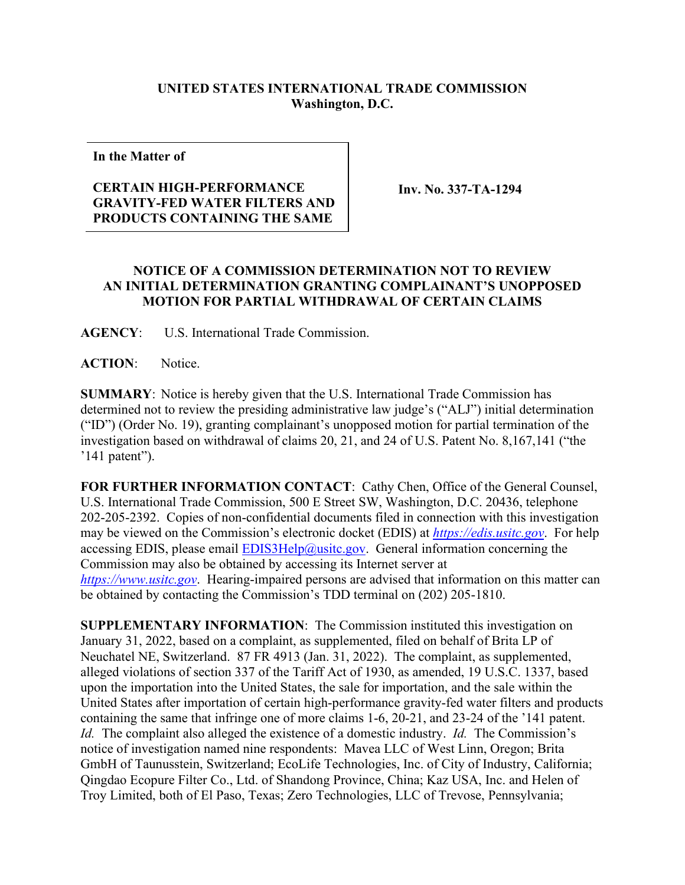## **UNITED STATES INTERNATIONAL TRADE COMMISSION Washington, D.C.**

**In the Matter of**

## **CERTAIN HIGH-PERFORMANCE GRAVITY-FED WATER FILTERS AND PRODUCTS CONTAINING THE SAME**

 **Inv. No. 337-TA-1294**

## **NOTICE OF A COMMISSION DETERMINATION NOT TO REVIEW AN INITIAL DETERMINATION GRANTING COMPLAINANT'S UNOPPOSED MOTION FOR PARTIAL WITHDRAWAL OF CERTAIN CLAIMS**

**AGENCY**: U.S. International Trade Commission.

**ACTION**: Notice.

**SUMMARY**: Notice is hereby given that the U.S. International Trade Commission has determined not to review the presiding administrative law judge's ("ALJ") initial determination ("ID") (Order No. 19), granting complainant's unopposed motion for partial termination of the investigation based on withdrawal of claims 20, 21, and 24 of U.S. Patent No. 8,167,141 ("the '141 patent").

**FOR FURTHER INFORMATION CONTACT**: Cathy Chen, Office of the General Counsel, U.S. International Trade Commission, 500 E Street SW, Washington, D.C. 20436, telephone 202-205-2392. Copies of non-confidential documents filed in connection with this investigation may be viewed on the Commission's electronic docket (EDIS) at *[https://edis.usitc.gov](https://edis.usitc.gov/)*. For help accessing EDIS, please email  $EDIS3Help@usite.gov$ . General information concerning the Commission may also be obtained by accessing its Internet server at *[https://www.usitc.gov](https://www.usitc.gov/)*. Hearing-impaired persons are advised that information on this matter can be obtained by contacting the Commission's TDD terminal on (202) 205-1810.

**SUPPLEMENTARY INFORMATION**: The Commission instituted this investigation on January 31, 2022, based on a complaint, as supplemented, filed on behalf of Brita LP of Neuchatel NE, Switzerland. 87 FR 4913 (Jan. 31, 2022). The complaint, as supplemented, alleged violations of section 337 of the Tariff Act of 1930, as amended, 19 U.S.C. 1337, based upon the importation into the United States, the sale for importation, and the sale within the United States after importation of certain high-performance gravity-fed water filters and products containing the same that infringe one of more claims 1-6, 20-21, and 23-24 of the '141 patent. *Id.* The complaint also alleged the existence of a domestic industry. *Id.* The Commission's notice of investigation named nine respondents: Mavea LLC of West Linn, Oregon; Brita GmbH of Taunusstein, Switzerland; EcoLife Technologies, Inc. of City of Industry, California; Qingdao Ecopure Filter Co., Ltd. of Shandong Province, China; Kaz USA, Inc. and Helen of Troy Limited, both of El Paso, Texas; Zero Technologies, LLC of Trevose, Pennsylvania;